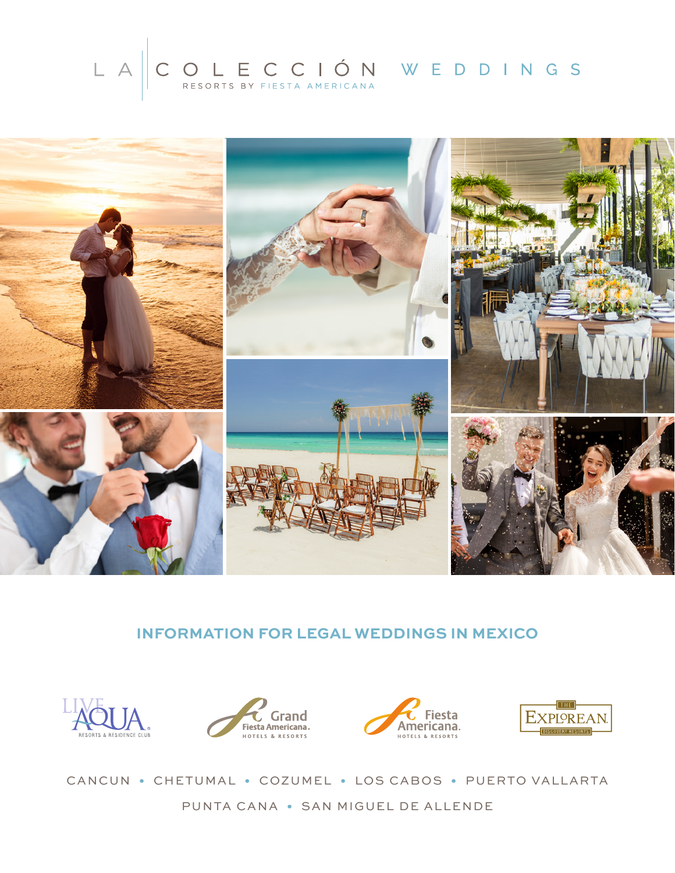# LA COLECCIÓN WEDDINGS



## **INFORMATION FOR LEGAL WEDDINGS IN MEXICO**









CANCUN • CHETUMAL • COZUMEL • LOS CABOS • PUERTO VALLARTA PUNTA CANA • SAN MIGUEL DE ALLENDE